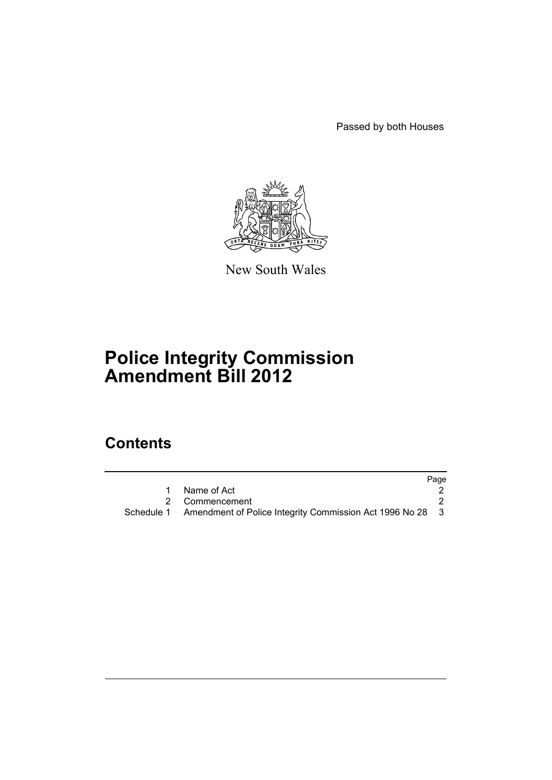Passed by both Houses



New South Wales

# **Police Integrity Commission Amendment Bill 2012**

# **Contents**

|                                                                      | Page |
|----------------------------------------------------------------------|------|
| Name of Act                                                          |      |
| 2 Commencement                                                       |      |
| Schedule 1 Amendment of Police Integrity Commission Act 1996 No 28 3 |      |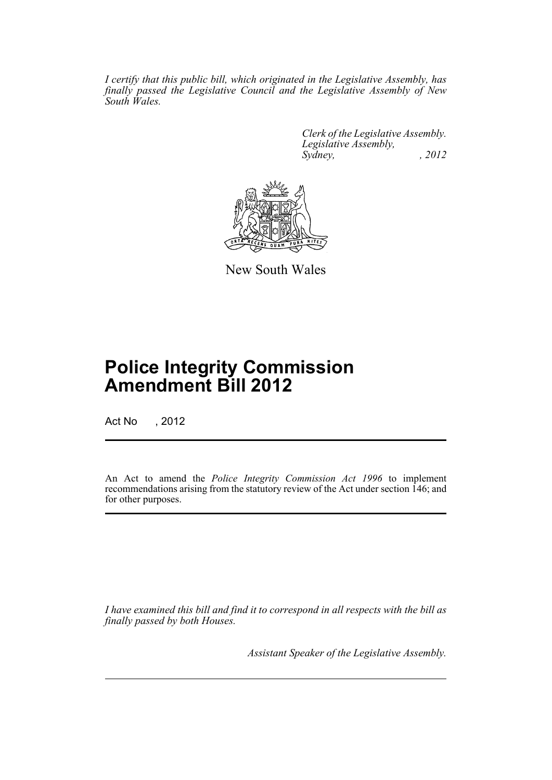*I certify that this public bill, which originated in the Legislative Assembly, has finally passed the Legislative Council and the Legislative Assembly of New South Wales.*

> *Clerk of the Legislative Assembly. Legislative Assembly, Sydney, , 2012*



New South Wales

# **Police Integrity Commission Amendment Bill 2012**

Act No , 2012

An Act to amend the *Police Integrity Commission Act 1996* to implement recommendations arising from the statutory review of the Act under section 146; and for other purposes.

*I have examined this bill and find it to correspond in all respects with the bill as finally passed by both Houses.*

*Assistant Speaker of the Legislative Assembly.*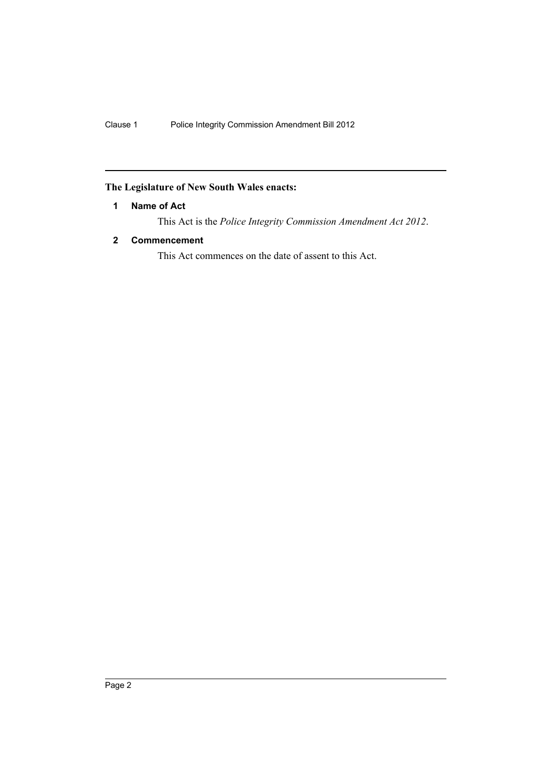# <span id="page-3-0"></span>**The Legislature of New South Wales enacts:**

# **1 Name of Act**

This Act is the *Police Integrity Commission Amendment Act 2012*.

# <span id="page-3-1"></span>**2 Commencement**

This Act commences on the date of assent to this Act.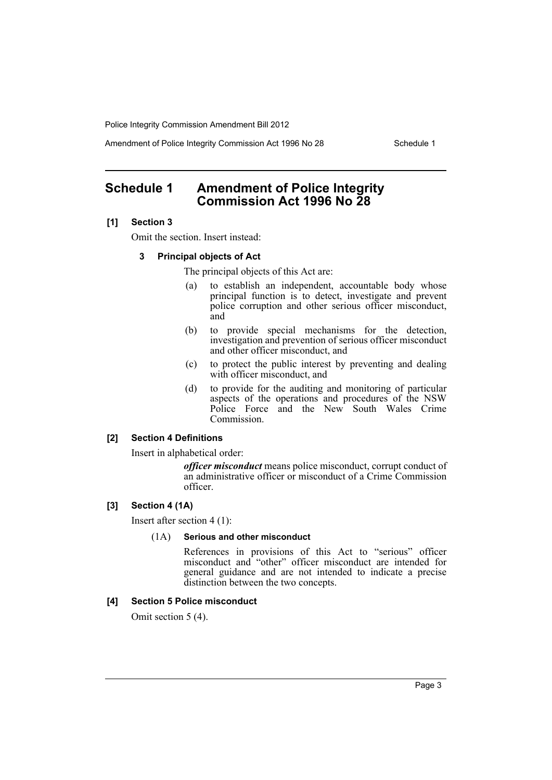Amendment of Police Integrity Commission Act 1996 No 28 Schedule 1

# <span id="page-4-0"></span>**Schedule 1 Amendment of Police Integrity Commission Act 1996 No 28**

## **[1] Section 3**

Omit the section. Insert instead:

### **3 Principal objects of Act**

The principal objects of this Act are:

- (a) to establish an independent, accountable body whose principal function is to detect, investigate and prevent police corruption and other serious officer misconduct, and
- (b) to provide special mechanisms for the detection, investigation and prevention of serious officer misconduct and other officer misconduct, and
- (c) to protect the public interest by preventing and dealing with officer misconduct, and
- (d) to provide for the auditing and monitoring of particular aspects of the operations and procedures of the NSW Police Force and the New South Wales Crime Commission.

# **[2] Section 4 Definitions**

Insert in alphabetical order:

*officer misconduct* means police misconduct, corrupt conduct of an administrative officer or misconduct of a Crime Commission officer.

# **[3] Section 4 (1A)**

Insert after section 4 (1):

## (1A) **Serious and other misconduct**

References in provisions of this Act to "serious" officer misconduct and "other" officer misconduct are intended for general guidance and are not intended to indicate a precise distinction between the two concepts.

## **[4] Section 5 Police misconduct**

Omit section 5 (4).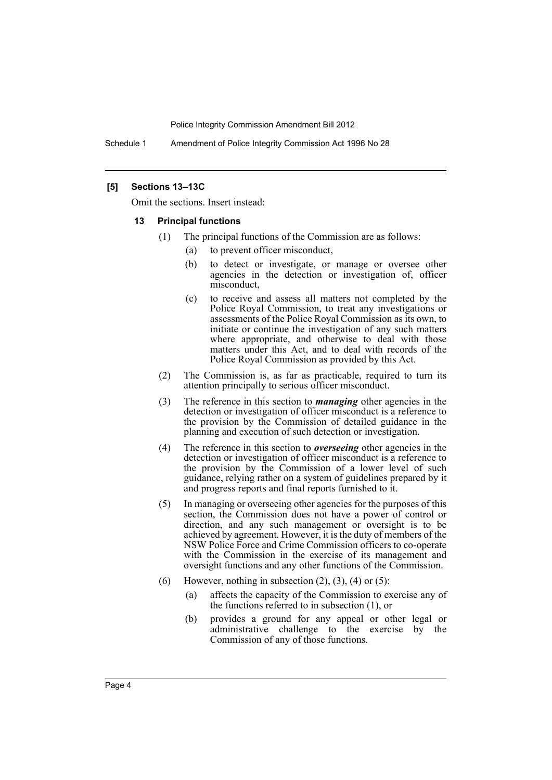Schedule 1 Amendment of Police Integrity Commission Act 1996 No 28

## **[5] Sections 13–13C**

Omit the sections. Insert instead:

#### **13 Principal functions**

- (1) The principal functions of the Commission are as follows:
	- (a) to prevent officer misconduct,
	- (b) to detect or investigate, or manage or oversee other agencies in the detection or investigation of, officer misconduct,
	- (c) to receive and assess all matters not completed by the Police Royal Commission, to treat any investigations or assessments of the Police Royal Commission as its own, to initiate or continue the investigation of any such matters where appropriate, and otherwise to deal with those matters under this Act, and to deal with records of the Police Royal Commission as provided by this Act.
- (2) The Commission is, as far as practicable, required to turn its attention principally to serious officer misconduct.
- (3) The reference in this section to *managing* other agencies in the detection or investigation of officer misconduct is a reference to the provision by the Commission of detailed guidance in the planning and execution of such detection or investigation.
- (4) The reference in this section to *overseeing* other agencies in the detection or investigation of officer misconduct is a reference to the provision by the Commission of a lower level of such guidance, relying rather on a system of guidelines prepared by it and progress reports and final reports furnished to it.
- (5) In managing or overseeing other agencies for the purposes of this section, the Commission does not have a power of control or direction, and any such management or oversight is to be achieved by agreement. However, it is the duty of members of the NSW Police Force and Crime Commission officers to co-operate with the Commission in the exercise of its management and oversight functions and any other functions of the Commission.
- (6) However, nothing in subsection  $(2)$ ,  $(3)$ ,  $(4)$  or  $(5)$ :
	- (a) affects the capacity of the Commission to exercise any of the functions referred to in subsection (1), or
	- (b) provides a ground for any appeal or other legal or administrative challenge to the exercise by the Commission of any of those functions.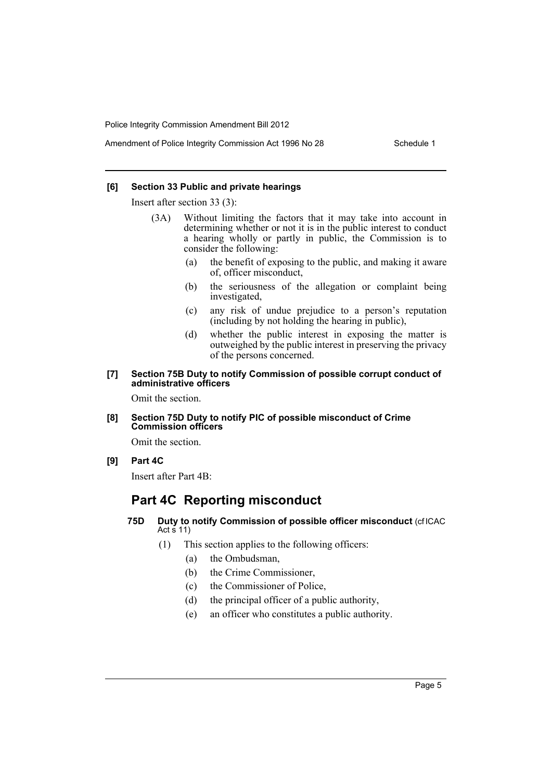#### **[6] Section 33 Public and private hearings**

Insert after section 33 (3):

- (3A) Without limiting the factors that it may take into account in determining whether or not it is in the public interest to conduct a hearing wholly or partly in public, the Commission is to consider the following:
	- (a) the benefit of exposing to the public, and making it aware of, officer misconduct,
	- (b) the seriousness of the allegation or complaint being investigated,
	- (c) any risk of undue prejudice to a person's reputation (including by not holding the hearing in public),
	- (d) whether the public interest in exposing the matter is outweighed by the public interest in preserving the privacy of the persons concerned.

### **[7] Section 75B Duty to notify Commission of possible corrupt conduct of administrative officers**

Omit the section.

## **[8] Section 75D Duty to notify PIC of possible misconduct of Crime Commission officers**

Omit the section.

**[9] Part 4C**

Insert after Part 4B:

# **Part 4C Reporting misconduct**

# **75D Duty to notify Commission of possible officer misconduct** (cf ICAC Act  $\frac{1}{5}$  11)

- (1) This section applies to the following officers:
	- (a) the Ombudsman,
	- (b) the Crime Commissioner,
	- (c) the Commissioner of Police,
	- (d) the principal officer of a public authority,
	- (e) an officer who constitutes a public authority.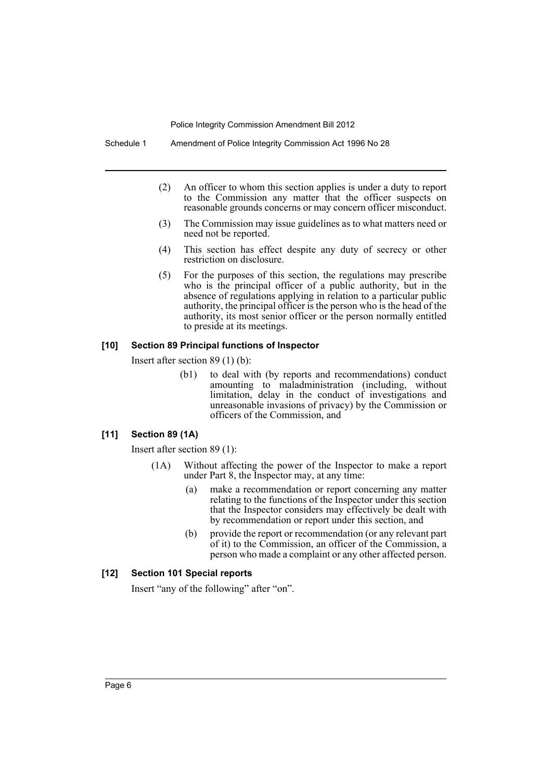Schedule 1 Amendment of Police Integrity Commission Act 1996 No 28

- (2) An officer to whom this section applies is under a duty to report to the Commission any matter that the officer suspects on reasonable grounds concerns or may concern officer misconduct.
- (3) The Commission may issue guidelines as to what matters need or need not be reported.
- (4) This section has effect despite any duty of secrecy or other restriction on disclosure.
- (5) For the purposes of this section, the regulations may prescribe who is the principal officer of a public authority, but in the absence of regulations applying in relation to a particular public authority, the principal officer is the person who is the head of the authority, its most senior officer or the person normally entitled to preside at its meetings.

## **[10] Section 89 Principal functions of Inspector**

Insert after section 89 (1) (b):

(b1) to deal with (by reports and recommendations) conduct amounting to maladministration (including, without limitation, delay in the conduct of investigations and unreasonable invasions of privacy) by the Commission or officers of the Commission, and

# **[11] Section 89 (1A)**

Insert after section 89 (1):

- (1A) Without affecting the power of the Inspector to make a report under Part 8, the Inspector may, at any time:
	- (a) make a recommendation or report concerning any matter relating to the functions of the Inspector under this section that the Inspector considers may effectively be dealt with by recommendation or report under this section, and
	- (b) provide the report or recommendation (or any relevant part of it) to the Commission, an officer of the Commission, a person who made a complaint or any other affected person.

## **[12] Section 101 Special reports**

Insert "any of the following" after "on".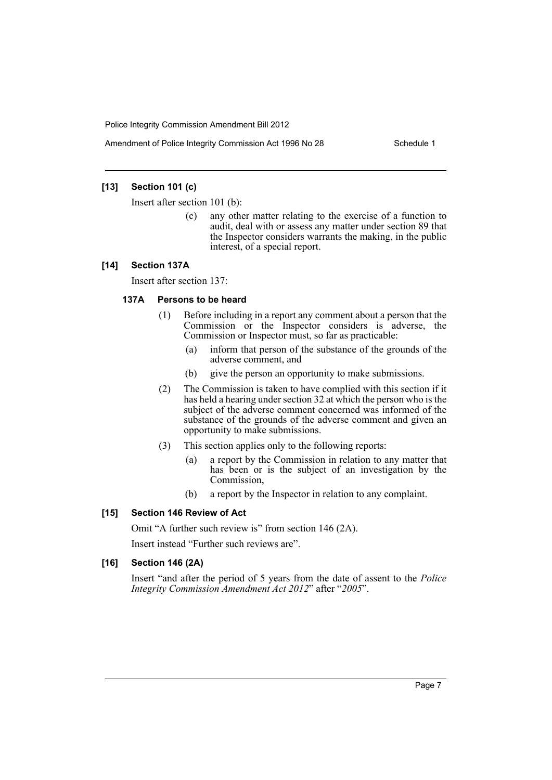Amendment of Police Integrity Commission Act 1996 No 28 Schedule 1

# **[13] Section 101 (c)**

Insert after section 101 (b):

(c) any other matter relating to the exercise of a function to audit, deal with or assess any matter under section 89 that the Inspector considers warrants the making, in the public interest, of a special report.

## **[14] Section 137A**

Insert after section 137:

# **137A Persons to be heard**

- (1) Before including in a report any comment about a person that the Commission or the Inspector considers is adverse, the Commission or Inspector must, so far as practicable:
	- (a) inform that person of the substance of the grounds of the adverse comment, and
	- (b) give the person an opportunity to make submissions.
- (2) The Commission is taken to have complied with this section if it has held a hearing under section 32 at which the person who is the subject of the adverse comment concerned was informed of the substance of the grounds of the adverse comment and given an opportunity to make submissions.
- (3) This section applies only to the following reports:
	- (a) a report by the Commission in relation to any matter that has been or is the subject of an investigation by the Commission,
	- (b) a report by the Inspector in relation to any complaint.

## **[15] Section 146 Review of Act**

Omit "A further such review is" from section 146 (2A).

Insert instead "Further such reviews are".

### **[16] Section 146 (2A)**

Insert "and after the period of 5 years from the date of assent to the *Police Integrity Commission Amendment Act 2012*" after "*2005*".